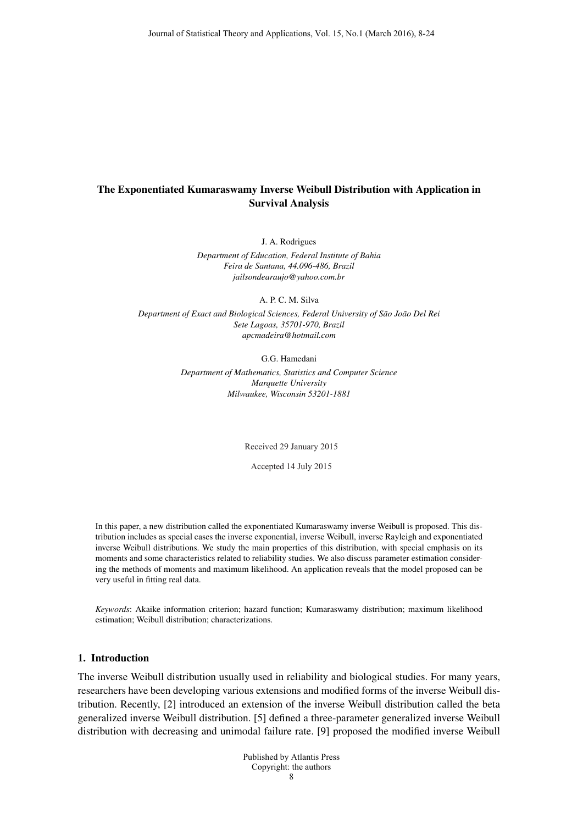# The Exponentiated Kumaraswamy Inverse Weibull Distribution with Application in Survival Analysis

J. A. Rodrigues

*Department of Education, Federal Institute of Bahia Feira de Santana, 44.096-486, Brazil jailsondearaujo@yahoo.com.br*

A. P. C. M. Silva

*Department of Exact and Biological Sciences, Federal University of São João Del Rei Sete Lagoas, 35701-970, Brazil apcmadeira@hotmail.com*

G.G. Hamedani

*Department of Mathematics, Statistics and Computer Science Marquette University Milwaukee, Wisconsin 53201-1881*

Received 29 January 2015

Accepted 14 July 2015

In this paper, a new distribution called the exponentiated Kumaraswamy inverse Weibull is proposed. This distribution includes as special cases the inverse exponential, inverse Weibull, inverse Rayleigh and exponentiated inverse Weibull distributions. We study the main properties of this distribution, with special emphasis on its moments and some characteristics related to reliability studies. We also discuss parameter estimation considering the methods of moments and maximum likelihood. An application reveals that the model proposed can be very useful in fitting real data.

*Keywords*: Akaike information criterion; hazard function; Kumaraswamy distribution; maximum likelihood estimation; Weibull distribution; characterizations.

## 1. Introduction

The inverse Weibull distribution usually used in reliability and biological studies. For many years, researchers have been developing various extensions and modified forms of the inverse Weibull distribution. Recently, [2] introduced an extension of the inverse Weibull distribution called the beta generalized inverse Weibull distribution. [5] defined a three-parameter generalized inverse Weibull distribution with decreasing and unimodal failure rate. [9] proposed the modified inverse Weibull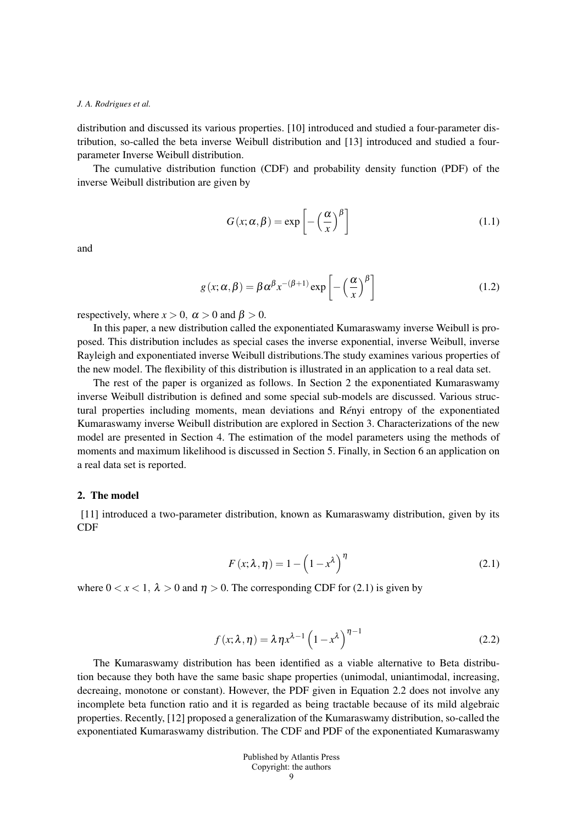distribution and discussed its various properties. [10] introduced and studied a four-parameter distribution, so-called the beta inverse Weibull distribution and [13] introduced and studied a fourparameter Inverse Weibull distribution.

The cumulative distribution function (CDF) and probability density function (PDF) of the inverse Weibull distribution are given by

$$
G(x; \alpha, \beta) = \exp\left[-\left(\frac{\alpha}{x}\right)^{\beta}\right]
$$
 (1.1)

and

$$
g(x; \alpha, \beta) = \beta \alpha^{\beta} x^{-(\beta+1)} \exp\left[-\left(\frac{\alpha}{x}\right)^{\beta}\right]
$$
 (1.2)

respectively, where  $x > 0$ ,  $\alpha > 0$  and  $\beta > 0$ .

In this paper, a new distribution called the exponentiated Kumaraswamy inverse Weibull is proposed. This distribution includes as special cases the inverse exponential, inverse Weibull, inverse Rayleigh and exponentiated inverse Weibull distributions.The study examines various properties of the new model. The flexibility of this distribution is illustrated in an application to a real data set.

The rest of the paper is organized as follows. In Section 2 the exponentiated Kumaraswamy inverse Weibull distribution is defined and some special sub-models are discussed. Various structural properties including moments, mean deviations and Rényi entropy of the exponentiated Kumaraswamy inverse Weibull distribution are explored in Section 3. Characterizations of the new model are presented in Section 4. The estimation of the model parameters using the methods of moments and maximum likelihood is discussed in Section 5. Finally, in Section 6 an application on a real data set is reported.

### 2. The model

[11] introduced a two-parameter distribution, known as Kumaraswamy distribution, given by its CDF

$$
F(x; \lambda, \eta) = 1 - \left(1 - x^{\lambda}\right)^{\eta}
$$
\n(2.1)

where  $0 < x < 1$ ,  $\lambda > 0$  and  $\eta > 0$ . The corresponding CDF for (2.1) is given by

$$
f(x; \lambda, \eta) = \lambda \eta x^{\lambda - 1} \left( 1 - x^{\lambda} \right)^{\eta - 1}
$$
 (2.2)

The Kumaraswamy distribution has been identified as a viable alternative to Beta distribution because they both have the same basic shape properties (unimodal, uniantimodal, increasing, decreaing, monotone or constant). However, the PDF given in Equation 2.2 does not involve any incomplete beta function ratio and it is regarded as being tractable because of its mild algebraic properties. Recently, [12] proposed a generalization of the Kumaraswamy distribution, so-called the exponentiated Kumaraswamy distribution. The CDF and PDF of the exponentiated Kumaraswamy

| Published by Atlantis Press |
|-----------------------------|
| Copyright: the authors      |
| 9                           |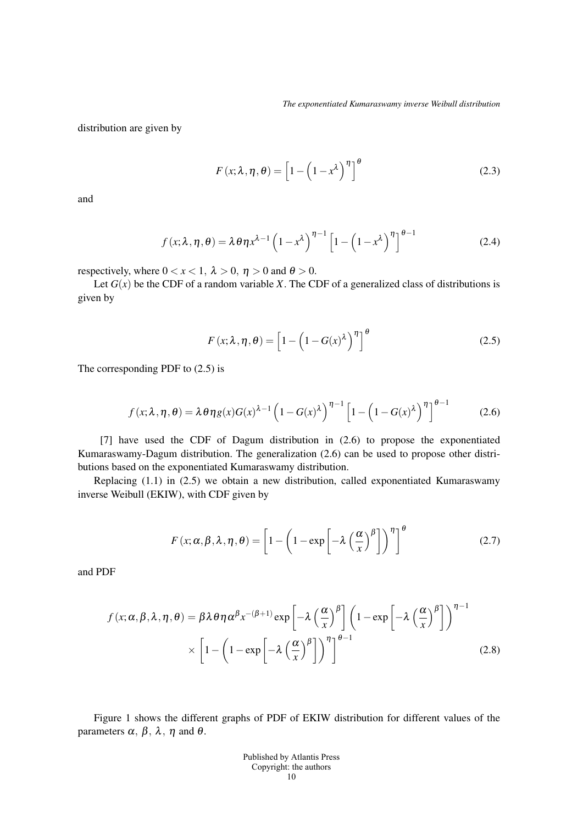distribution are given by

$$
F(x; \lambda, \eta, \theta) = \left[1 - \left(1 - x^{\lambda}\right)^{\eta}\right]^{\theta}
$$
 (2.3)

and

$$
f(x; \lambda, \eta, \theta) = \lambda \theta \eta x^{\lambda - 1} \left( 1 - x^{\lambda} \right)^{\eta - 1} \left[ 1 - \left( 1 - x^{\lambda} \right)^{\eta} \right]^{\theta - 1}
$$
 (2.4)

respectively, where  $0 < x < 1$ ,  $\lambda > 0$ ,  $\eta > 0$  and  $\theta > 0$ .

Let  $G(x)$  be the CDF of a random variable *X*. The CDF of a generalized class of distributions is given by

$$
F(x; \lambda, \eta, \theta) = \left[1 - \left(1 - G(x)^{\lambda}\right)^{\eta}\right]^{\theta}
$$
 (2.5)

The corresponding PDF to (2.5) is

$$
f(x; \lambda, \eta, \theta) = \lambda \theta \eta g(x) G(x)^{\lambda - 1} \left( 1 - G(x)^{\lambda} \right)^{\eta - 1} \left[ 1 - \left( 1 - G(x)^{\lambda} \right)^{\eta} \right]^{\theta - 1}
$$
 (2.6)

[7] have used the CDF of Dagum distribution in (2.6) to propose the exponentiated Kumaraswamy-Dagum distribution. The generalization (2.6) can be used to propose other distributions based on the exponentiated Kumaraswamy distribution.

Replacing (1.1) in (2.5) we obtain a new distribution, called exponentiated Kumaraswamy inverse Weibull (EKIW), with CDF given by

$$
F(x; \alpha, \beta, \lambda, \eta, \theta) = \left[1 - \left(1 - \exp\left[-\lambda \left(\frac{\alpha}{x}\right)^{\beta}\right]\right)^{\eta}\right]^{\theta}
$$
(2.7)

and PDF

$$
f(x; \alpha, \beta, \lambda, \eta, \theta) = \beta \lambda \theta \eta \alpha^{\beta} x^{-(\beta+1)} \exp\left[-\lambda \left(\frac{\alpha}{x}\right)^{\beta}\right] \left(1 - \exp\left[-\lambda \left(\frac{\alpha}{x}\right)^{\beta}\right]\right)^{\eta-1} \times \left[1 - \left(1 - \exp\left[-\lambda \left(\frac{\alpha}{x}\right)^{\beta}\right]\right)^{\eta}\right]^{ \theta-1}
$$
(2.8)

Figure 1 shows the different graphs of PDF of EKIW distribution for different values of the parameters  $\alpha$ ,  $\beta$ ,  $\lambda$ ,  $\eta$  and  $\theta$ .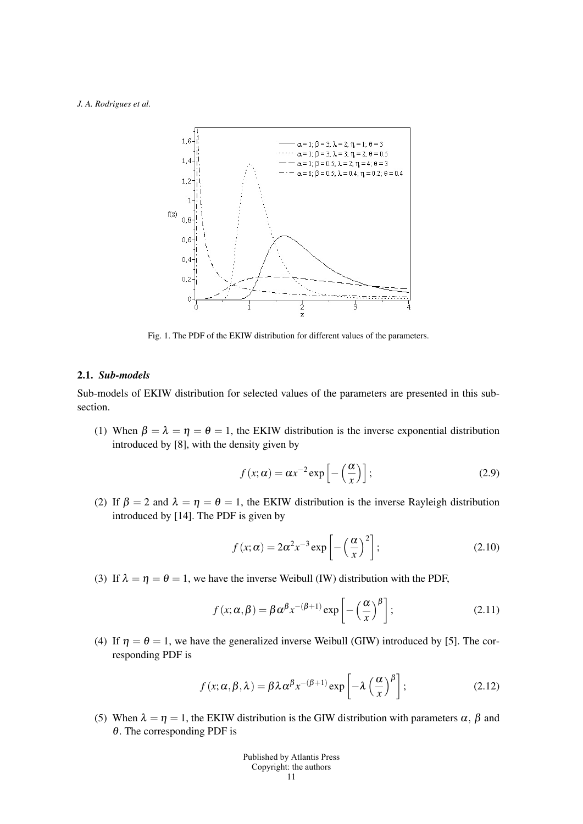

Fig. 1. The PDF of the EKIW distribution for different values of the parameters.

### 2.1. *Sub-models*

Sub-models of EKIW distribution for selected values of the parameters are presented in this subsection.

(1) When  $\beta = \lambda = \eta = \theta = 1$ , the EKIW distribution is the inverse exponential distribution introduced by [8], with the density given by

$$
f(x; \alpha) = \alpha x^{-2} \exp\left[-\left(\frac{\alpha}{x}\right)\right];
$$
 (2.9)

(2) If  $\beta = 2$  and  $\lambda = \eta = \theta = 1$ , the EKIW distribution is the inverse Rayleigh distribution introduced by [14]. The PDF is given by

$$
f(x; \alpha) = 2\alpha^2 x^{-3} \exp\left[-\left(\frac{\alpha}{x}\right)^2\right];
$$
 (2.10)

(3) If  $\lambda = \eta = \theta = 1$ , we have the inverse Weibull (IW) distribution with the PDF,

$$
f(x; \alpha, \beta) = \beta \alpha^{\beta} x^{-(\beta + 1)} \exp\left[ -\left(\frac{\alpha}{x}\right)^{\beta} \right];
$$
 (2.11)

(4) If  $\eta = \theta = 1$ , we have the generalized inverse Weibull (GIW) introduced by [5]. The corresponding PDF is

$$
f(x; \alpha, \beta, \lambda) = \beta \lambda \alpha^{\beta} x^{-(\beta+1)} \exp\left[-\lambda \left(\frac{\alpha}{x}\right)^{\beta}\right];
$$
 (2.12)

(5) When  $\lambda = \eta = 1$ , the EKIW distribution is the GIW distribution with parameters  $\alpha$ ,  $\beta$  and  $\theta$ . The corresponding PDF is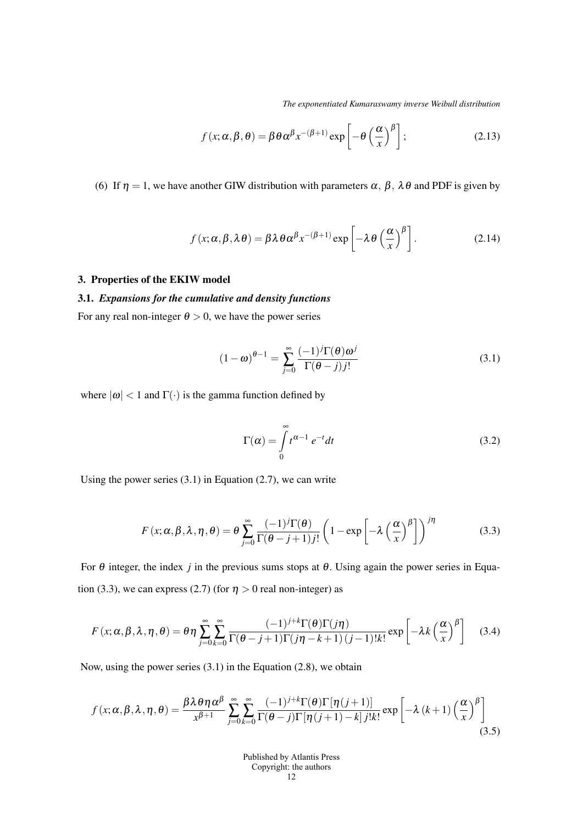*The exponentiated Kumaraswamy inverse Weibull distribution*

$$
f(x; \alpha, \beta, \theta) = \beta \theta \alpha^{\beta} x^{-(\beta+1)} \exp\left[-\theta \left(\frac{\alpha}{x}\right)^{\beta}\right];
$$
 (2.13)

(6) If  $\eta = 1$ , we have another GIW distribution with parameters  $\alpha$ ,  $\beta$ ,  $\lambda \theta$  and PDF is given by

$$
f(x; \alpha, \beta, \lambda \theta) = \beta \lambda \theta \alpha^{\beta} x^{-(\beta+1)} \exp \left[ -\lambda \theta \left( \frac{\alpha}{x} \right)^{\beta} \right].
$$
 (2.14)

### 3. Properties of the EKIW model

## 3.1. *Expansions for the cumulative and density functions*

For any real non-integer  $\theta > 0$ , we have the power series

$$
(1 - \omega)^{\theta - 1} = \sum_{j=0}^{\infty} \frac{(-1)^j \Gamma(\theta) \omega^j}{\Gamma(\theta - j) j!}
$$
(3.1)

where  $|\omega|$  < 1 and  $\Gamma(\cdot)$  is the gamma function defined by

$$
\Gamma(\alpha) = \int_{0}^{\infty} t^{\alpha - 1} e^{-t} dt
$$
\n(3.2)

Using the power series  $(3.1)$  in Equation  $(2.7)$ , we can write

$$
F(x; \alpha, \beta, \lambda, \eta, \theta) = \theta \sum_{j=0}^{\infty} \frac{(-1)^j \Gamma(\theta)}{\Gamma(\theta - j + 1) j!} \left(1 - \exp\left[-\lambda \left(\frac{\alpha}{x}\right)^{\beta}\right]\right)^{j\eta}
$$
(3.3)

For  $\theta$  integer, the index *j* in the previous sums stops at  $\theta$ . Using again the power series in Equation (3.3), we can express (2.7) (for  $\eta > 0$  real non-integer) as

$$
F(x; \alpha, \beta, \lambda, \eta, \theta) = \theta \eta \sum_{j=0}^{\infty} \sum_{k=0}^{\infty} \frac{(-1)^{j+k} \Gamma(\theta) \Gamma(j\eta)}{\Gamma(\theta - j + 1) \Gamma(j\eta - k + 1) (j - 1)! k!} \exp \left[ -\lambda k \left( \frac{\alpha}{x} \right)^{\beta} \right]
$$
(3.4)

Now, using the power series (3.1) in the Equation (2.8), we obtain

$$
f(x; \alpha, \beta, \lambda, \eta, \theta) = \frac{\beta \lambda \theta \eta \alpha^{\beta}}{x^{\beta+1}} \sum_{j=0}^{\infty} \sum_{k=0}^{\infty} \frac{(-1)^{j+k} \Gamma(\theta) \Gamma[\eta(j+1)]}{\Gamma(\theta-j) \Gamma[\eta(j+1)-k] j! k!} \exp\left[-\lambda (k+1) \left(\frac{\alpha}{x}\right)^{\beta}\right]
$$
(3.5)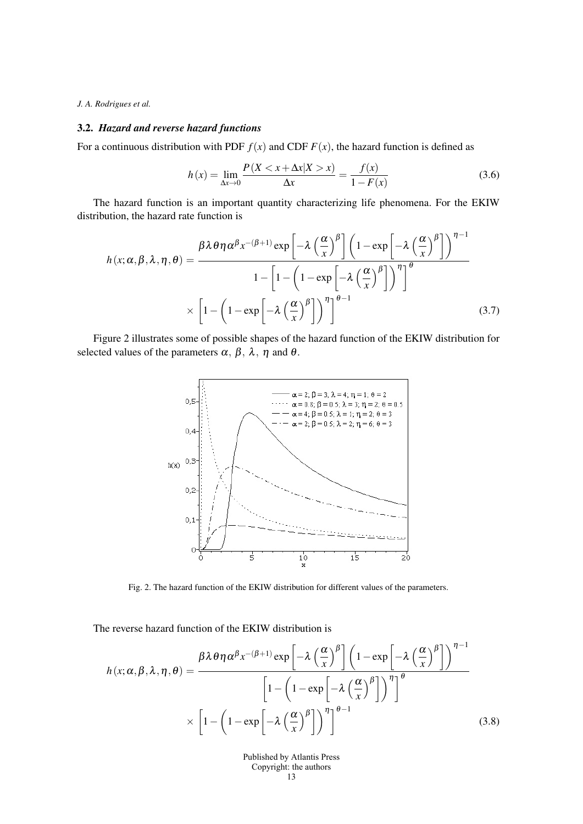### 3.2. *Hazard and reverse hazard functions*

For a continuous distribution with PDF  $f(x)$  and CDF  $F(x)$ , the hazard function is defined as

$$
h(x) = \lim_{\Delta x \to 0} \frac{P(X < x + \Delta x | X > x)}{\Delta x} = \frac{f(x)}{1 - F(x)}\tag{3.6}
$$

The hazard function is an important quantity characterizing life phenomena. For the EKIW distribution, the hazard rate function is

$$
h(x; \alpha, \beta, \lambda, \eta, \theta) = \frac{\beta \lambda \theta \eta \alpha^{\beta} x^{-(\beta+1)} \exp\left[-\lambda \left(\frac{\alpha}{x}\right)^{\beta}\right] \left(1 - \exp\left[-\lambda \left(\frac{\alpha}{x}\right)^{\beta}\right]\right)^{\eta-1}}{1 - \left[1 - \left(1 - \exp\left[-\lambda \left(\frac{\alpha}{x}\right)^{\beta}\right]\right)^{\eta}\right]^{\theta}}
$$

$$
\times \left[1 - \left(1 - \exp\left[-\lambda \left(\frac{\alpha}{x}\right)^{\beta}\right]\right)^{\eta}\right]^{\theta-1}
$$
(3.7)

Figure 2 illustrates some of possible shapes of the hazard function of the EKIW distribution for selected values of the parameters  $\alpha$ ,  $\beta$ ,  $\lambda$ ,  $\eta$  and  $\theta$ .



Fig. 2. The hazard function of the EKIW distribution for different values of the parameters.

The reverse hazard function of the EKIW distribution is

$$
h(x; \alpha, \beta, \lambda, \eta, \theta) = \frac{\beta \lambda \theta \eta \alpha^{\beta} x^{-(\beta+1)} \exp\left[-\lambda \left(\frac{\alpha}{x}\right)^{\beta}\right] \left(1 - \exp\left[-\lambda \left(\frac{\alpha}{x}\right)^{\beta}\right]\right)^{\eta-1}}{\left[1 - \left(1 - \exp\left[-\lambda \left(\frac{\alpha}{x}\right)^{\beta}\right]\right)^{\eta}\right]^{\theta}}
$$

$$
\times \left[1 - \left(1 - \exp\left[-\lambda \left(\frac{\alpha}{x}\right)^{\beta}\right]\right)^{\eta}\right]^{\theta-1}
$$
(3.8)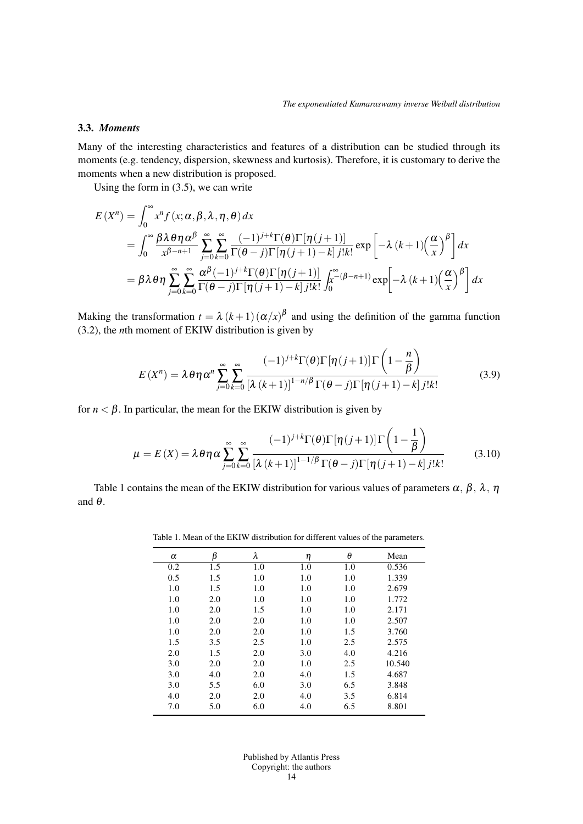(

### 3.3. *Moments*

Many of the interesting characteristics and features of a distribution can be studied through its moments (e.g. tendency, dispersion, skewness and kurtosis). Therefore, it is customary to derive the moments when a new distribution is proposed.

Using the form in (3.5), we can write

$$
E(X^{n}) = \int_{0}^{\infty} x^{n} f(x; \alpha, \beta, \lambda, \eta, \theta) dx
$$
  
= 
$$
\int_{0}^{\infty} \frac{\beta \lambda \theta \eta \alpha^{\beta}}{x^{\beta-n+1}} \sum_{j=0}^{\infty} \sum_{k=0}^{\infty} \frac{(-1)^{j+k} \Gamma(\theta) \Gamma[\eta(j+1)]}{\Gamma(\theta-j) \Gamma[\eta(j+1)-k] j! k!} \exp \left[ -\lambda (k+1) \left( \frac{\alpha}{x} \right)^{\beta} \right] dx
$$
  
= 
$$
\beta \lambda \theta \eta \sum_{j=0}^{\infty} \sum_{k=0}^{\infty} \frac{\alpha^{\beta} (-1)^{j+k} \Gamma(\theta) \Gamma[\eta(j+1)]}{\Gamma(\theta-j) \Gamma[\eta(j+1)-k] j! k!} \int_{0}^{\infty} (\beta-n+1) \exp \left[ -\lambda (k+1) \left( \frac{\alpha}{x} \right)^{\beta} \right] dx
$$

Making the transformation  $t = \lambda (k+1) (\alpha/x)^{\beta}$  and using the definition of the gamma function (3.2), the *n*th moment of EKIW distribution is given by

$$
E(X^{n}) = \lambda \theta \eta \alpha^{n} \sum_{j=0}^{\infty} \sum_{k=0}^{\infty} \frac{(-1)^{j+k} \Gamma(\theta) \Gamma[\eta(j+1)] \Gamma\left(1 - \frac{n}{\beta}\right)}{\left[\lambda(k+1)\right]^{1-n/\beta} \Gamma(\theta-j) \Gamma[\eta(j+1)-k] j! k!}
$$
(3.9)

for  $n < \beta$ . In particular, the mean for the EKIW distribution is given by

$$
\mu = E(X) = \lambda \theta \eta \alpha \sum_{j=0}^{\infty} \sum_{k=0}^{\infty} \frac{(-1)^{j+k} \Gamma(\theta) \Gamma[\eta(j+1)] \Gamma\left(1 - \frac{1}{\beta}\right)}{[\lambda (k+1)]^{1-1/\beta} \Gamma(\theta - j) \Gamma[\eta(j+1) - k] j! k!}
$$
(3.10)

Table 1 contains the mean of the EKIW distribution for various values of parameters  $\alpha$ ,  $\beta$ ,  $\lambda$ ,  $\eta$ and  $\theta$ .

Table 1. Mean of the EKIW distribution for different values of the parameters.

| $\alpha$ | β   | λ   | η   | θ   | Mean   |
|----------|-----|-----|-----|-----|--------|
| 0.2      | 1.5 | 1.0 | 1.0 | 1.0 | 0.536  |
| 0.5      | 1.5 | 1.0 | 1.0 | 1.0 | 1.339  |
| 1.0      | 1.5 | 1.0 | 1.0 | 1.0 | 2.679  |
| 1.0      | 2.0 | 1.0 | 1.0 | 1.0 | 1.772  |
| 1.0      | 2.0 | 1.5 | 1.0 | 1.0 | 2.171  |
| 1.0      | 2.0 | 2.0 | 1.0 | 1.0 | 2.507  |
| 1.0      | 2.0 | 2.0 | 1.0 | 1.5 | 3.760  |
| 1.5      | 3.5 | 2.5 | 1.0 | 2.5 | 2.575  |
| 2.0      | 1.5 | 2.0 | 3.0 | 4.0 | 4.216  |
| 3.0      | 2.0 | 2.0 | 1.0 | 2.5 | 10.540 |
| 3.0      | 4.0 | 2.0 | 4.0 | 1.5 | 4.687  |
| 3.0      | 5.5 | 6.0 | 3.0 | 6.5 | 3.848  |
| 4.0      | 2.0 | 2.0 | 4.0 | 3.5 | 6.814  |
| 7.0      | 5.0 | 6.0 | 4.0 | 6.5 | 8.801  |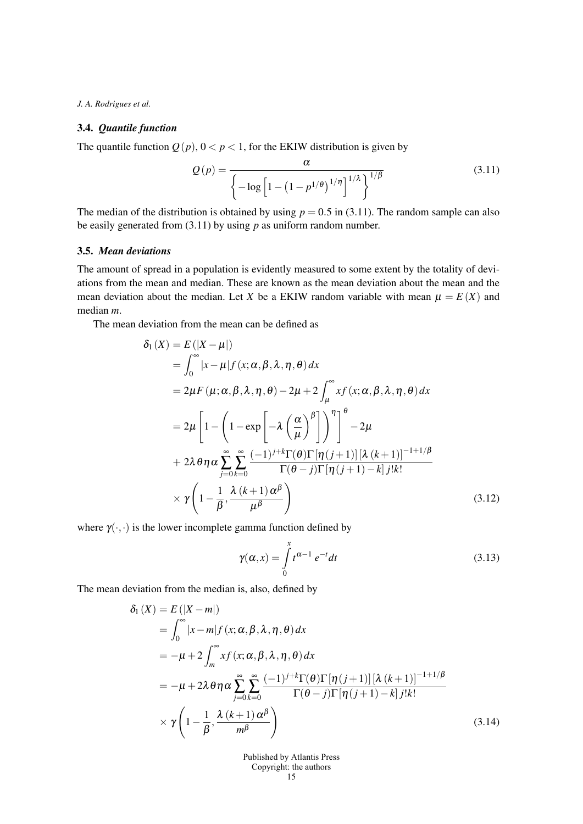## 3.4. *Quantile function*

The quantile function  $Q(p)$ ,  $0 < p < 1$ , for the EKIW distribution is given by

$$
Q(p) = \frac{\alpha}{\left\{-\log\left[1 - \left(1 - p^{1/\theta}\right)^{1/\eta}\right]^{1/\lambda}\right\}^{1/\beta}}
$$
(3.11)

The median of the distribution is obtained by using  $p = 0.5$  in (3.11). The random sample can also be easily generated from (3.11) by using *p* as uniform random number.

### 3.5. *Mean deviations*

The amount of spread in a population is evidently measured to some extent by the totality of deviations from the mean and median. These are known as the mean deviation about the mean and the mean deviation about the median. Let *X* be a EKIW random variable with mean  $\mu = E(X)$  and median *m*.

The mean deviation from the mean can be defined as

$$
\delta_1(X) = E(|X - \mu|)
$$
  
\n
$$
= \int_0^\infty |x - \mu| f(x; \alpha, \beta, \lambda, \eta, \theta) dx
$$
  
\n
$$
= 2\mu F(\mu; \alpha, \beta, \lambda, \eta, \theta) - 2\mu + 2 \int_\mu^\infty x f(x; \alpha, \beta, \lambda, \eta, \theta) dx
$$
  
\n
$$
= 2\mu \left[ 1 - \left( 1 - \exp \left[ -\lambda \left( \frac{\alpha}{\mu} \right)^{\beta} \right] \right)^{\eta} \right]^\theta - 2\mu
$$
  
\n
$$
+ 2\lambda \theta \eta \alpha \sum_{j=0}^\infty \sum_{k=0}^\infty \frac{(-1)^{j+k} \Gamma(\theta) \Gamma[\eta(j+1)][\lambda (k+1)]^{-1+j/\beta}}{\Gamma(\theta - j) \Gamma[\eta(j+1) - k] j! k!}
$$
  
\n
$$
\times \gamma \left( 1 - \frac{1}{\beta}, \frac{\lambda (k+1) \alpha^{\beta}}{\mu^{\beta}} \right) \tag{3.12}
$$

where  $\gamma(\cdot, \cdot)$  is the lower incomplete gamma function defined by

$$
\gamma(\alpha, x) = \int_{0}^{x} t^{\alpha - 1} e^{-t} dt
$$
\n(3.13)

The mean deviation from the median is, also, defined by

$$
\delta_1(X) = E(|X - m|)
$$
  
\n
$$
= \int_0^\infty |x - m| f(x; \alpha, \beta, \lambda, \eta, \theta) dx
$$
  
\n
$$
= -\mu + 2 \int_m^\infty x f(x; \alpha, \beta, \lambda, \eta, \theta) dx
$$
  
\n
$$
= -\mu + 2\lambda \theta \eta \alpha \sum_{j=0}^\infty \sum_{k=0}^\infty \frac{(-1)^{j+k} \Gamma(\theta) \Gamma[\eta(j+1)][\lambda (k+1)]^{-1+j/\beta}}{\Gamma(\theta - j) \Gamma[\eta(j+1) - k] j! k!}
$$
  
\n
$$
\times \gamma \left(1 - \frac{1}{\beta}, \frac{\lambda (k+1) \alpha^{\beta}}{m^{\beta}}\right)
$$
\n(3.14)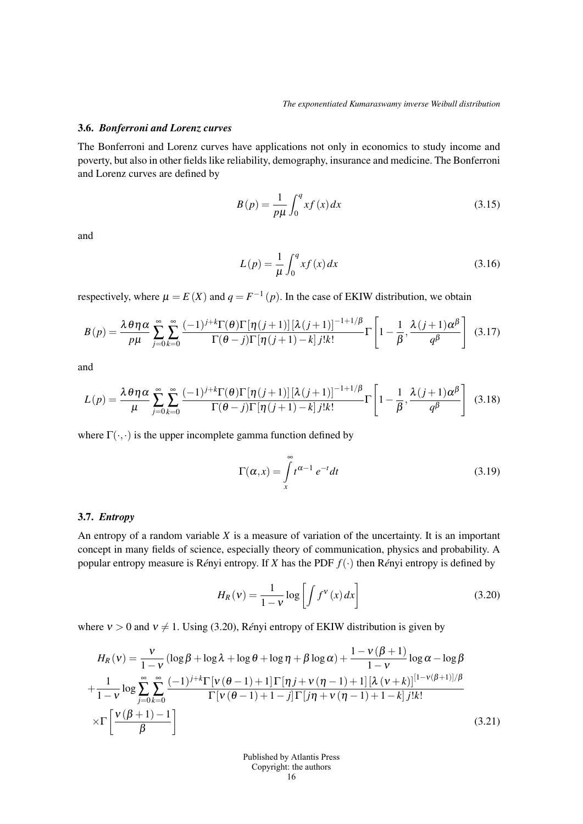### 3.6. *Bonferroni and Lorenz curves*

The Bonferroni and Lorenz curves have applications not only in economics to study income and poverty, but also in other fields like reliability, demography, insurance and medicine. The Bonferroni and Lorenz curves are defined by

$$
B(p) = \frac{1}{p\mu} \int_0^q x f(x) dx
$$
 (3.15)

and

$$
L(p) = \frac{1}{\mu} \int_0^q x f(x) dx
$$
 (3.16)

respectively, where  $\mu = E(X)$  and  $q = F^{-1}(p)$ . In the case of EKIW distribution, we obtain

$$
B(p) = \frac{\lambda \theta \eta \alpha}{p \mu} \sum_{j=0}^{\infty} \sum_{k=0}^{\infty} \frac{(-1)^{j+k} \Gamma(\theta) \Gamma[\eta(j+1)][\lambda(j+1)]^{-1+1/\beta}}{\Gamma(\theta-j) \Gamma[\eta(j+1)-k] j! k!} \Gamma\left[1 - \frac{1}{\beta}, \frac{\lambda(j+1)\alpha^{\beta}}{q^{\beta}}\right]
$$
(3.17)

and

$$
L(p) = \frac{\lambda \theta \eta \alpha}{\mu} \sum_{j=0}^{\infty} \sum_{k=0}^{\infty} \frac{(-1)^{j+k} \Gamma(\theta) \Gamma[\eta(j+1)][\lambda(j+1)]^{-1+1/\beta}}{\Gamma(\theta-j) \Gamma[\eta(j+1)-k] j! k!} \Gamma\left[1 - \frac{1}{\beta}, \frac{\lambda(j+1)\alpha^{\beta}}{q^{\beta}}\right]
$$
(3.18)

where  $\Gamma(\cdot, \cdot)$  is the upper incomplete gamma function defined by

$$
\Gamma(\alpha, x) = \int_{x}^{\infty} t^{\alpha - 1} e^{-t} dt
$$
\n(3.19)

#### 3.7. *Entropy*

An entropy of a random variable *X* is a measure of variation of the uncertainty. It is an important concept in many fields of science, especially theory of communication, physics and probability. A popular entropy measure is Rényi entropy. If *X* has the PDF  $f(\cdot)$  then Rényi entropy is defined by

$$
H_R(v) = \frac{1}{1 - v} \log \left[ \int f^v(x) \, dx \right] \tag{3.20}
$$

where  $v > 0$  and  $v \neq 1$ . Using (3.20), Rényi entropy of EKIW distribution is given by

$$
H_R(v) = \frac{v}{1-v} \left( \log \beta + \log \lambda + \log \theta + \log \eta + \beta \log \alpha \right) + \frac{1-v(\beta+1)}{1-v} \log \alpha - \log \beta
$$
  
+ 
$$
\frac{1}{1-v} \log \sum_{j=0}^{\infty} \sum_{k=0}^{\infty} \frac{(-1)^{j+k} \Gamma[v(\theta-1)+1] \Gamma[\eta_j + v(\eta-1)+1] [\lambda (v+k)]^{[1-v(\beta+1)]/\beta}}{\Gamma[v(\theta-1)+1-j] \Gamma[j\eta + v(\eta-1)+1-k] j!k!}
$$
  
×
$$
\Gamma\left[\frac{v(\beta+1)-1}{\beta}\right]
$$
(3.21)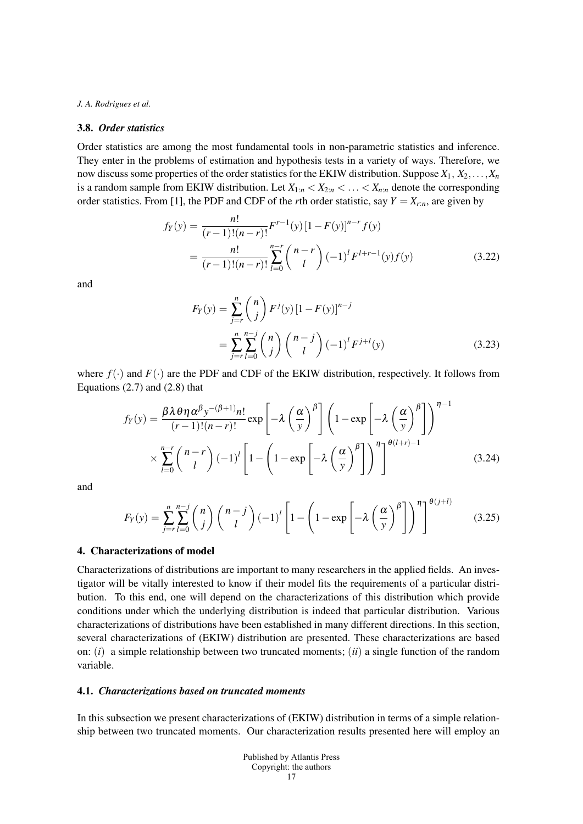#### 3.8. *Order statistics*

Order statistics are among the most fundamental tools in non-parametric statistics and inference. They enter in the problems of estimation and hypothesis tests in a variety of ways. Therefore, we now discuss some properties of the order statistics for the EKIW distribution. Suppose  $X_1, X_2, \ldots, X_n$ is a random sample from EKIW distribution. Let  $X_{1:n} < X_{2:n} < \ldots < X_{n:n}$  denote the corresponding order statistics. From [1], the PDF and CDF of the *r*th order statistic, say  $Y = X_{r:n}$ , are given by

$$
f_Y(y) = \frac{n!}{(r-1)!(n-r)!} F^{r-1}(y) [1 - F(y)]^{n-r} f(y)
$$
  
= 
$$
\frac{n!}{(r-1)!(n-r)!} \sum_{l=0}^{n-r} {n-r \choose l} (-1)^l F^{l+r-1}(y) f(y)
$$
(3.22)

and

$$
F_Y(y) = \sum_{j=r}^{n} {n \choose j} F^j(y) [1 - F(y)]^{n-j}
$$
  
= 
$$
\sum_{j=r}^{n} \sum_{l=0}^{n-j} {n \choose j} {n-j \choose l} (-1)^l F^{j+l}(y)
$$
(3.23)

where  $f(\cdot)$  and  $F(\cdot)$  are the PDF and CDF of the EKIW distribution, respectively. It follows from Equations  $(2.7)$  and  $(2.8)$  that

$$
f_Y(y) = \frac{\beta \lambda \theta \eta \alpha^{\beta} y^{-(\beta+1)} n!}{(r-1)!(n-r)!} \exp\left[-\lambda \left(\frac{\alpha}{y}\right)^{\beta}\right] \left(1 - \exp\left[-\lambda \left(\frac{\alpha}{y}\right)^{\beta}\right]\right)^{\eta-1} \times \sum_{l=0}^{n-r} {n-r \choose l} (-1)^l \left[1 - \left(1 - \exp\left[-\lambda \left(\frac{\alpha}{y}\right)^{\beta}\right]\right)^{\eta}\right]^{\theta(l+r)-1}
$$
(3.24)

and

$$
F_Y(y) = \sum_{j=r}^{n} \sum_{l=0}^{n-j} {n \choose j} {n-j \choose l} (-1)^l \left[ 1 - \left( 1 - \exp\left[ -\lambda \left( \frac{\alpha}{y} \right)^{\beta} \right] \right)^{\eta} \right]^{ \theta(j+l)}
$$
(3.25)

#### 4. Characterizations of model

Characterizations of distributions are important to many researchers in the applied fields. An investigator will be vitally interested to know if their model fits the requirements of a particular distribution. To this end, one will depend on the characterizations of this distribution which provide conditions under which the underlying distribution is indeed that particular distribution. Various characterizations of distributions have been established in many different directions. In this section, several characterizations of (EKIW) distribution are presented. These characterizations are based on: (*i*) a simple relationship between two truncated moments; (*ii*) a single function of the random variable.

### 4.1. *Characterizations based on truncated moments*

In this subsection we present characterizations of (EKIW) distribution in terms of a simple relationship between two truncated moments. Our characterization results presented here will employ an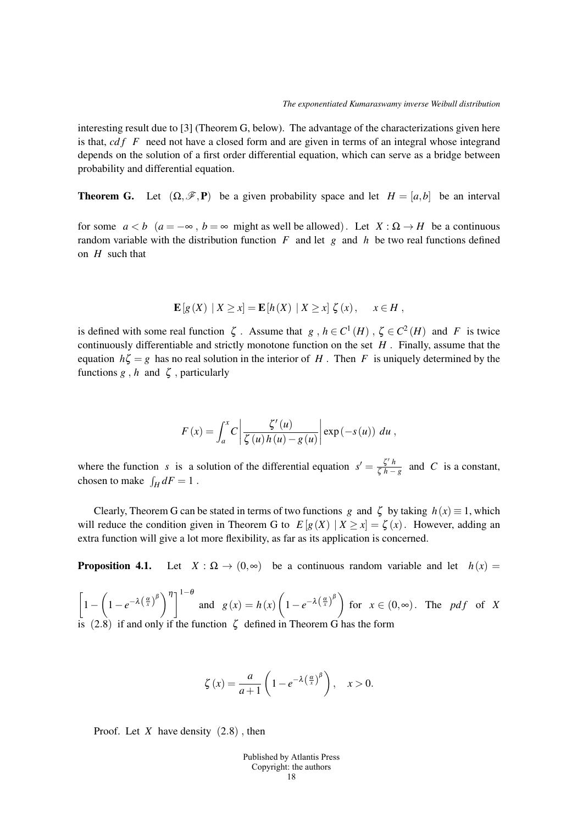interesting result due to [3] (Theorem G, below). The advantage of the characterizations given here is that, *cdf* F need not have a closed form and are given in terms of an integral whose integrand depends on the solution of a first order differential equation, which can serve as a bridge between probability and differential equation.

**Theorem G.** Let  $(\Omega, \mathcal{F}, P)$  be a given probability space and let  $H = [a, b]$  be an interval

for some  $a < b$  ( $a = -\infty$ ,  $b = \infty$  might as well be allowed). Let  $X : \Omega \to H$  be a continuous random variable with the distribution function  $F$  and let  $g$  and  $h$  be two real functions defined on *H* such that

$$
\mathbf{E}[g(X) | X \ge x] = \mathbf{E}[h(X) | X \ge x] \zeta(x), \quad x \in H,
$$

is defined with some real function  $\zeta$ . Assume that  $g, h \in C^1(H)$ ,  $\zeta \in C^2(H)$  and *F* is twice continuously differentiable and strictly monotone function on the set *H .* Finally, assume that the equation  $h\zeta = g$  has no real solution in the interior of *H*. Then *F* is uniquely determined by the functions  $g$ ,  $h$  and  $\zeta$ , particularly

$$
F(x) = \int_a^x C \left| \frac{\zeta'(u)}{\zeta(u)h(u) - g(u)} \right| \exp(-s(u)) du,
$$

where the function *s* is a solution of the differential equation  $s' = \frac{\zeta' h}{\zeta h}$  $\frac{\zeta^n}{\zeta}$  *h* − *g* and *C* is a constant, chosen to make  $\int_H dF = 1$ .

Clearly, Theorem G can be stated in terms of two functions *g* and  $\zeta$  by taking  $h(x) \equiv 1$ , which will reduce the condition given in Theorem G to  $E[g(X) | X \ge x] = \zeta(x)$ . However, adding an extra function will give a lot more flexibility, as far as its application is concerned.

**Proposition 4.1.** Let  $X : \Omega \to (0, \infty)$  be a continuous random variable and let  $h(x) =$ 

 $\sqrt{2}$ 1*−*  $\sqrt{ }$  $\left[1-e^{-\lambda\left(\frac{\alpha}{x}\right)^{\beta}}\right)^{\eta}\right]^{1-\theta}$ and  $g(x) = h(x)$  $\sqrt{ }$  $\left(1-e^{-\lambda\left(\frac{\alpha}{x}\right)^{\beta}}\right)$ for  $x \in (0, \infty)$ . The *pdf* of *X* is  $(2.8)$  if and only if the function  $\zeta$  defined in Theorem G has the form

$$
\zeta(x) = \frac{a}{a+1} \left( 1 - e^{-\lambda \left( \frac{\alpha}{x} \right)^{\beta}} \right), \quad x > 0.
$$

Proof. Let *X* have density (2*.*8) *,* then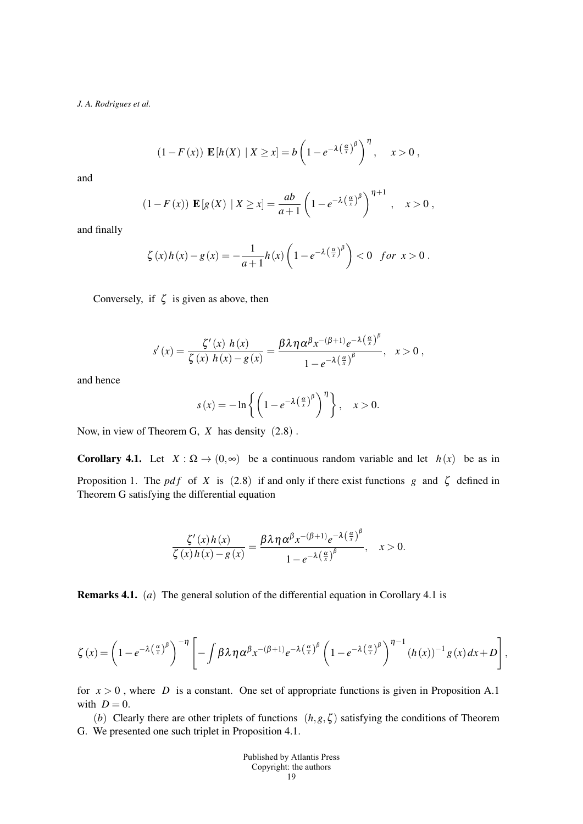$$
(1 - F(x)) \mathbf{E}[h(X) | X \ge x] = b \left(1 - e^{-\lambda \left(\frac{\alpha}{x}\right)^{\beta}}\right)^{\eta}, \quad x > 0,
$$

and

$$
(1 - F(x)) \mathbf{E}[g(X) | X \ge x] = \frac{ab}{a+1} \left(1 - e^{-\lambda \left(\frac{\alpha}{x}\right)^{\beta}}\right)^{\eta+1}, \quad x > 0,
$$

and finally

$$
\zeta(x)h(x)-g(x)=-\frac{1}{a+1}h(x)\left(1-e^{-\lambda\left(\frac{\alpha}{x}\right)^{\beta}}\right)<0 \text{ for } x>0.
$$

Conversely, if  $\zeta$  is given as above, then

$$
s'(x) = \frac{\zeta'(x) h(x)}{\zeta(x) h(x) - g(x)} = \frac{\beta \lambda \eta \alpha^{\beta} x^{-(\beta+1)} e^{-\lambda (\frac{\alpha}{x})^{\beta}}}{1 - e^{-\lambda (\frac{\alpha}{x})^{\beta}}}, \quad x > 0,
$$

and hence

$$
s(x) = -\ln\left\{ \left(1 - e^{-\lambda \left(\frac{\alpha}{x}\right)^{\beta}}\right)^{\eta} \right\}, \quad x > 0.
$$

Now, in view of Theorem G, *X* has density (2*.*8) *.*

Corollary 4.1. Let  $X : \Omega \to (0, \infty)$  be a continuous random variable and let  $h(x)$  be as in Proposition 1. The *pdf* of *X* is (2.8) if and only if there exist functions *g* and  $\zeta$  defined in Theorem G satisfying the differential equation

$$
\frac{\zeta'(x)h(x)}{\zeta(x)h(x)-g(x)}=\frac{\beta\lambda\eta\alpha^{\beta}x^{-(\beta+1)}e^{-\lambda(\frac{\alpha}{x})^{\beta}}}{1-e^{-\lambda(\frac{\alpha}{x})^{\beta}}}, \quad x>0.
$$

Remarks 4.1. (*a*) The general solution of the differential equation in Corollary 4.1 is

$$
\zeta(x) = \left(1 - e^{-\lambda \left(\frac{\alpha}{x}\right)^{\beta}}\right)^{-\eta} \left[-\int \beta \lambda \eta \alpha^{\beta} x^{-(\beta+1)} e^{-\lambda \left(\frac{\alpha}{x}\right)^{\beta}} \left(1 - e^{-\lambda \left(\frac{\alpha}{x}\right)^{\beta}}\right)^{\eta-1} \left(h(x)\right)^{-1} g(x) dx + D\right],
$$

for  $x > 0$ , where *D* is a constant. One set of appropriate functions is given in Proposition A.1 with  $D = 0$ .

(*b*) Clearly there are other triplets of functions  $(h, g, \zeta)$  satisfying the conditions of Theorem G. We presented one such triplet in Proposition 4.1.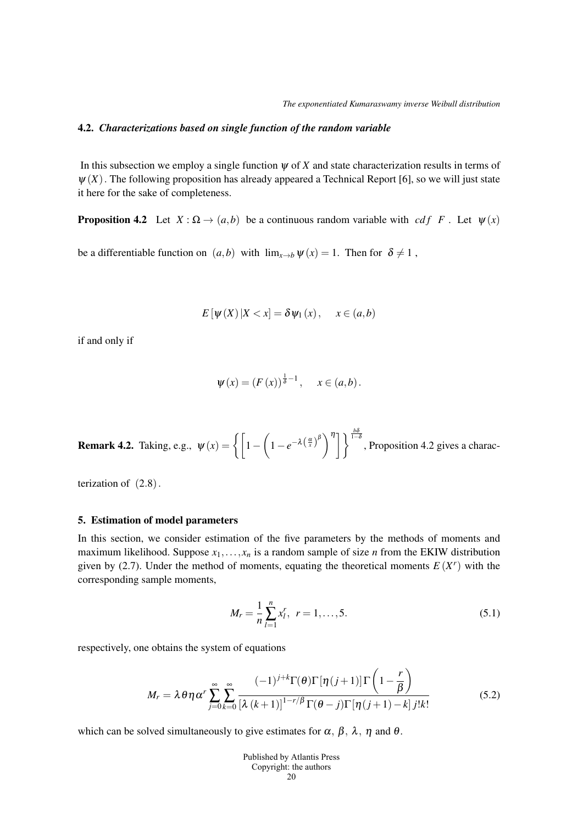#### 4.2. *Characterizations based on single function of the random variable*

In this subsection we employ a single function  $\psi$  of  $X$  and state characterization results in terms of  $\psi(X)$ . The following proposition has already appeared a Technical Report [6], so we will just state it here for the sake of completeness.

**Proposition 4.2** Let  $X : \Omega \to (a, b)$  be a continuous random variable with *cdf* F. Let  $\psi(x)$ 

be a differentiable function on  $(a,b)$  with  $\lim_{x\to b} \psi(x) = 1$ . Then for  $\delta \neq 1$ ,

$$
E[\psi(X)|X < x] = \delta \psi_1(x), \quad x \in (a, b)
$$

if and only if

$$
\psi(x) = (F(x))^{\frac{1}{\delta}-1}, \quad x \in (a,b).
$$

**Remark 4.2.** Taking, e.g.,  $\psi(x) = \begin{cases} 1 - \frac{1}{x} \end{cases}$  $\left[1-e^{-\lambda\left(\frac{\alpha}{x}\right)^{\beta}}\right)^{\eta}\right]\left\}^{\frac{b\delta}{1-\delta}}$ , Proposition 4.2 gives a charac-

terization of (2*.*8)*.*

#### 5. Estimation of model parameters

In this section, we consider estimation of the five parameters by the methods of moments and maximum likelihood. Suppose  $x_1, \ldots, x_n$  is a random sample of size *n* from the EKIW distribution given by (2.7). Under the method of moments, equating the theoretical moments  $E(X<sup>r</sup>)$  with the corresponding sample moments,

$$
M_r = \frac{1}{n} \sum_{l=1}^{n} x_l^r, \ r = 1, \dots, 5.
$$
 (5.1)

respectively, one obtains the system of equations

$$
M_r = \lambda \theta \eta \alpha^r \sum_{j=0}^{\infty} \sum_{k=0}^{\infty} \frac{(-1)^{j+k} \Gamma(\theta) \Gamma[\eta(j+1)] \Gamma\left(1 - \frac{r}{\beta}\right)}{[\lambda (k+1)]^{1-r/\beta} \Gamma(\theta - j) \Gamma[\eta(j+1) - k] j! k!}
$$
(5.2)

which can be solved simultaneously to give estimates for  $\alpha$ ,  $\beta$ ,  $\lambda$ ,  $\eta$  and  $\theta$ .

| <b>Published by Atlantis Press</b> |
|------------------------------------|
| Copyright: the authors             |
| 20                                 |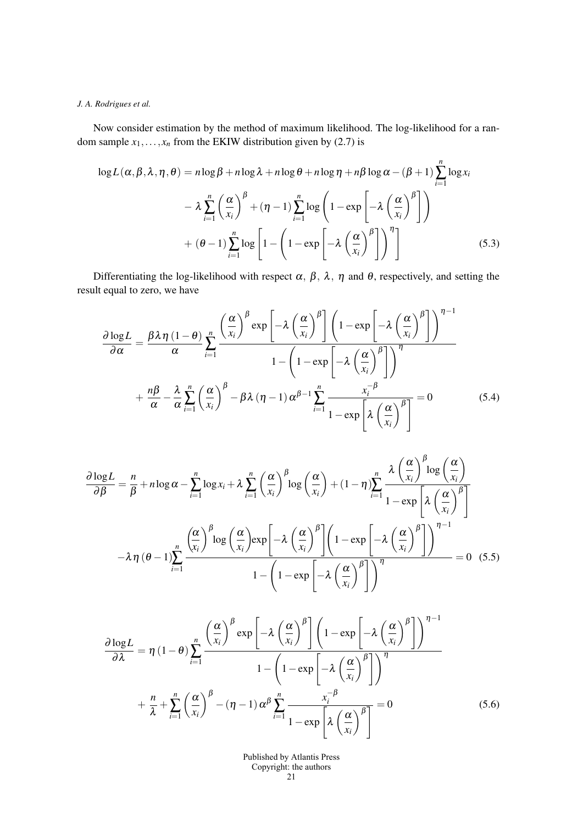Now consider estimation by the method of maximum likelihood. The log-likelihood for a random sample  $x_1, \ldots, x_n$  from the EKIW distribution given by (2.7) is

$$
\log L(\alpha, \beta, \lambda, \eta, \theta) = n \log \beta + n \log \lambda + n \log \theta + n \log \eta + n \beta \log \alpha - (\beta + 1) \sum_{i=1}^{n} \log x_i
$$

$$
- \lambda \sum_{i=1}^{n} \left(\frac{\alpha}{x_i}\right)^{\beta} + (\eta - 1) \sum_{i=1}^{n} \log \left(1 - \exp \left[-\lambda \left(\frac{\alpha}{x_i}\right)^{\beta}\right]\right)
$$

$$
+ (\theta - 1) \sum_{i=1}^{n} \log \left[1 - \left(1 - \exp \left[-\lambda \left(\frac{\alpha}{x_i}\right)^{\beta}\right]\right)^{\eta}\right]
$$
(5.3)

Differentiating the log-likelihood with respect  $\alpha$ ,  $\beta$ ,  $\lambda$ ,  $\eta$  and  $\theta$ , respectively, and setting the result equal to zero, we have

$$
\frac{\partial \log L}{\partial \alpha} = \frac{\beta \lambda \eta (1-\theta)}{\alpha} \sum_{i=1}^{n} \frac{\left(\frac{\alpha}{x_i}\right)^{\beta} \exp \left[-\lambda \left(\frac{\alpha}{x_i}\right)^{\beta}\right] \left(1 - \exp \left[-\lambda \left(\frac{\alpha}{x_i}\right)^{\beta}\right]\right)^{\eta-1}}{1 - \left(1 - \exp \left[-\lambda \left(\frac{\alpha}{x_i}\right)^{\beta}\right]\right)^{\eta}}
$$

$$
+ \frac{n\beta}{\alpha} - \frac{\lambda}{\alpha} \sum_{i=1}^{n} \left(\frac{\alpha}{x_i}\right)^{\beta} - \beta \lambda (\eta - 1) \alpha^{\beta-1} \sum_{i=1}^{n} \frac{x_i^{-\beta}}{1 - \exp \left[\lambda \left(\frac{\alpha}{x_i}\right)^{\beta}\right]} = 0 \tag{5.4}
$$

$$
\frac{\partial \log L}{\partial \beta} = \frac{n}{\beta} + n \log \alpha - \sum_{i=1}^{n} \log x_i + \lambda \sum_{i=1}^{n} \left(\frac{\alpha}{x_i}\right)^{\beta} \log \left(\frac{\alpha}{x_i}\right) + (1 - \eta) \sum_{i=1}^{n} \frac{\lambda \left(\frac{\alpha}{x_i}\right)^{\beta} \log \left(\frac{\alpha}{x_i}\right)}{1 - \exp \left[\lambda \left(\frac{\alpha}{x_i}\right)^{\beta}\right]}
$$

$$
-\lambda \eta (\theta - 1) \sum_{i=1}^{n} \frac{\left(\frac{\alpha}{x_i}\right)^{\beta} \log \left(\frac{\alpha}{x_i}\right) \exp \left[-\lambda \left(\frac{\alpha}{x_i}\right)^{\beta}\right] \left(1 - \exp \left[-\lambda \left(\frac{\alpha}{x_i}\right)^{\beta}\right]\right)^{\eta - 1}}{1 - \left(1 - \exp \left[-\lambda \left(\frac{\alpha}{x_i}\right)^{\beta}\right]\right)^{\eta}} = 0 \quad (5.5)
$$

$$
\frac{\partial \log L}{\partial \lambda} = \eta (1 - \theta) \sum_{i=1}^{n} \frac{\left(\frac{\alpha}{x_i}\right)^{\beta} \exp \left[-\lambda \left(\frac{\alpha}{x_i}\right)^{\beta}\right] \left(1 - \exp \left[-\lambda \left(\frac{\alpha}{x_i}\right)^{\beta}\right]\right)^{\eta - 1}}{1 - \left(1 - \exp \left[-\lambda \left(\frac{\alpha}{x_i}\right)^{\beta}\right]\right)^{\eta}}
$$

$$
+ \frac{n}{\lambda} + \sum_{i=1}^{n} \left(\frac{\alpha}{x_i}\right)^{\beta} - (\eta - 1) \alpha^{\beta} \sum_{i=1}^{n} \frac{x_i^{-\beta}}{1 - \exp \left[\lambda \left(\frac{\alpha}{x_i}\right)^{\beta}\right]} = 0 \tag{5.6}
$$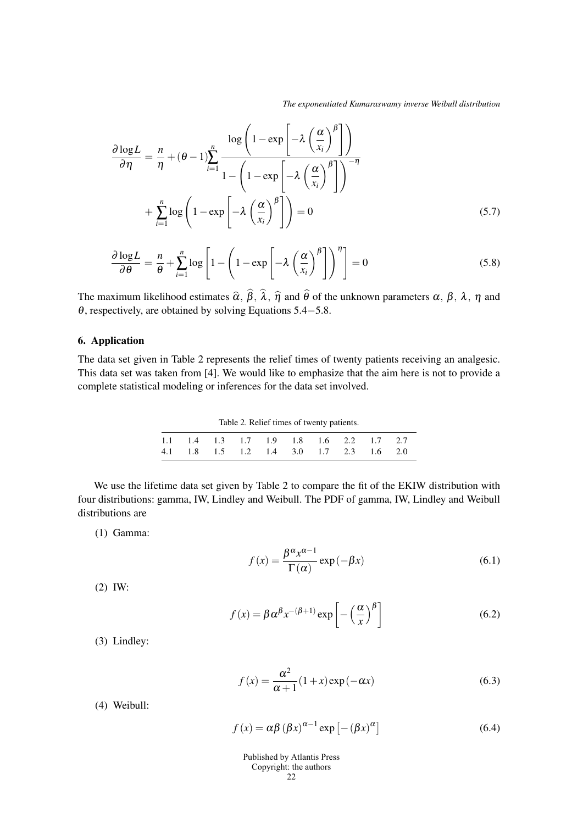*The exponentiated Kumaraswamy inverse Weibull distribution*

$$
\frac{\partial \log L}{\partial \eta} = \frac{n}{\eta} + (\theta - 1) \sum_{i=1}^{n} \frac{\log \left( 1 - \exp \left[ -\lambda \left( \frac{\alpha}{x_i} \right)^{\beta} \right] \right)}{1 - \left( 1 - \exp \left[ -\lambda \left( \frac{\alpha}{x_i} \right)^{\beta} \right] \right)^{-\eta}}
$$

$$
+ \sum_{i=1}^{n} \log \left( 1 - \exp \left[ -\lambda \left( \frac{\alpha}{x_i} \right)^{\beta} \right] \right) = 0 \tag{5.7}
$$

$$
\frac{\partial \log L}{\partial \theta} = \frac{n}{\theta} + \sum_{i=1}^{n} \log \left[ 1 - \left( 1 - \exp \left[ -\lambda \left( \frac{\alpha}{x_i} \right)^{\beta} \right] \right)^{\eta} \right] = 0 \tag{5.8}
$$

The maximum likelihood estimates  $\hat{\alpha}$ ,  $\beta$ ,  $\lambda$ ,  $\hat{\eta}$  and  $\theta$  of the unknown parameters  $\alpha$ ,  $\beta$ ,  $\lambda$ ,  $\eta$  and <sup>θ</sup>, respectively, are obtained by solving Equations 5.4*−*5.8.

## 6. Application

The data set given in Table 2 represents the relief times of twenty patients receiving an analgesic. This data set was taken from [4]. We would like to emphasize that the aim here is not to provide a complete statistical modeling or inferences for the data set involved.

Table 2. Relief times of twenty patients.

|  |  |  |  | 1.1 1.4 1.3 1.7 1.9 1.8 1.6 2.2 1.7 2.7 |
|--|--|--|--|-----------------------------------------|
|  |  |  |  | 4.1 1.8 1.5 1.2 1.4 3.0 1.7 2.3 1.6 2.0 |

We use the lifetime data set given by Table 2 to compare the fit of the EKIW distribution with four distributions: gamma, IW, Lindley and Weibull. The PDF of gamma, IW, Lindley and Weibull distributions are

(1) Gamma:

$$
f(x) = \frac{\beta^{\alpha} x^{\alpha - 1}}{\Gamma(\alpha)} \exp(-\beta x)
$$
 (6.1)

(2) IW:

$$
f(x) = \beta \alpha^{\beta} x^{-(\beta+1)} \exp\left[-\left(\frac{\alpha}{x}\right)^{\beta}\right]
$$
 (6.2)

(3) Lindley:

$$
f(x) = \frac{\alpha^2}{\alpha + 1} (1 + x) \exp(-\alpha x)
$$
 (6.3)

(4) Weibull:

$$
f(x) = \alpha \beta (\beta x)^{\alpha - 1} \exp \left[ -(\beta x)^{\alpha} \right]
$$
 (6.4)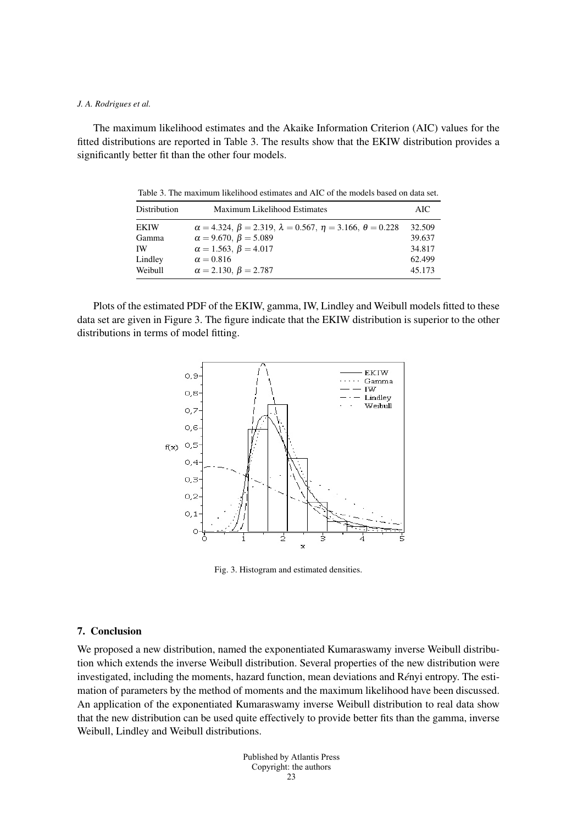The maximum likelihood estimates and the Akaike Information Criterion (AIC) values for the fitted distributions are reported in Table 3. The results show that the EKIW distribution provides a significantly better fit than the other four models.

Table 3. The maximum likelihood estimates and AIC of the models based on data set.

| Distribution | <b>Maximum Likelihood Estimates</b>                                            | AIC.   |
|--------------|--------------------------------------------------------------------------------|--------|
| EKIW         | $\alpha = 4.324, \beta = 2.319, \lambda = 0.567, \eta = 3.166, \theta = 0.228$ | 32.509 |
| Gamma        | $\alpha = 9.670, \beta = 5.089$                                                | 39.637 |
| IW           | $\alpha = 1.563, \beta = 4.017$                                                | 34.817 |
| Lindley      | $\alpha = 0.816$                                                               | 62.499 |
| Weibull      | $\alpha = 2.130, \beta = 2.787$                                                | 45.173 |

Plots of the estimated PDF of the EKIW, gamma, IW, Lindley and Weibull models fitted to these data set are given in Figure 3. The figure indicate that the EKIW distribution is superior to the other distributions in terms of model fitting.



Fig. 3. Histogram and estimated densities.

#### 7. Conclusion

We proposed a new distribution, named the exponentiated Kumaraswamy inverse Weibull distribution which extends the inverse Weibull distribution. Several properties of the new distribution were investigated, including the moments, hazard function, mean deviations and Rényi entropy. The estimation of parameters by the method of moments and the maximum likelihood have been discussed. An application of the exponentiated Kumaraswamy inverse Weibull distribution to real data show that the new distribution can be used quite effectively to provide better fits than the gamma, inverse Weibull, Lindley and Weibull distributions.